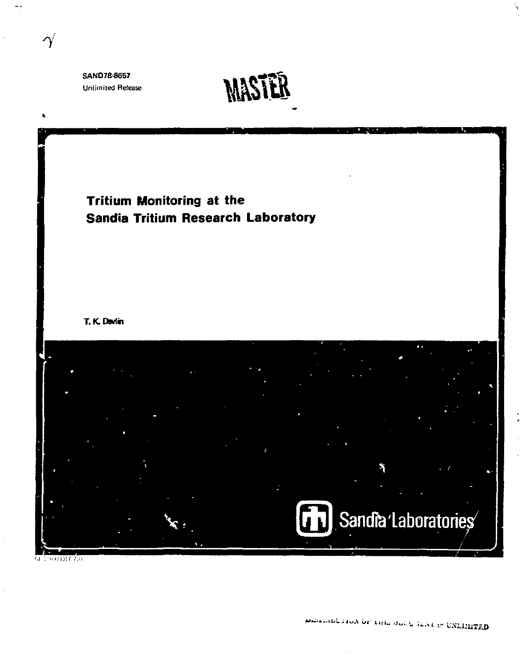SAND78-8657 **Unlimited Release** 

へ

MASTER



SE 2000 Q17-7.9

somalited row or this dock have is UNLIMTED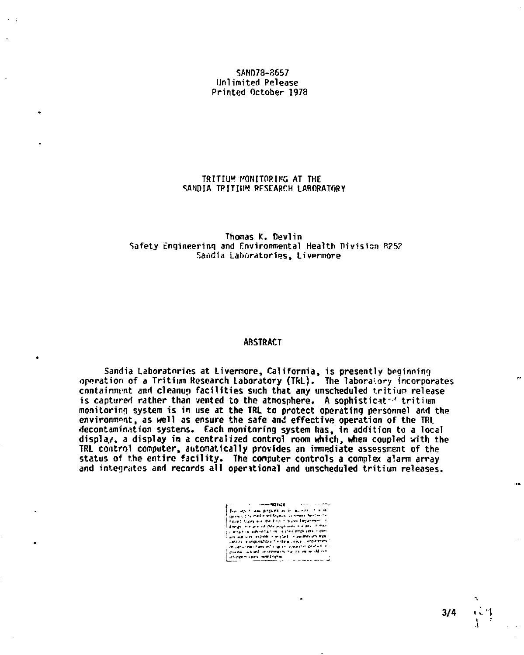## **SAND7a-?,657 Unlimited Release Printed October 1978**

## **TRITIUM t'ONITORING AT THE SANDIA TRITIUM RESEARCH LABORATORY**

#### **Thomas K. Devlin Safety Engineering and Environmental Health Division R?5? Sandia Laboratories, Livermore**

#### **ABSTRACT**

**Sandia Laboratories at Livermore, California, is presently beginning operation of a Tritium Research Laboratory (TRL). The laboratory incorporates containment and cleanup facilities such that any unscheduled t.ritium release**  is captured rather than vented to the atmosphere. A sophisticat<sup>-4</sup> tritium **monitoring system is in use at the TRL to protect operating personnel and the environment, as well as ensure the safe and effective operation of the TRL decontamination systems. Each monitoring system has, in addition to a local display, a display in a centralized control room which, when coupled with the TRL control computer, automatically provides an immediate assessment of the status of the entire facility. The conputer controls a complex alarm array and integrates and records all operitional and unscheduled tritium releases.** 

|  | Education and present as in according to the                                                                                    |                                                                    |
|--|---------------------------------------------------------------------------------------------------------------------------------|--------------------------------------------------------------------|
|  | shows the metions frames servers former or                                                                                      |                                                                    |
|  | Explore fourn aid the Enjoy States Department of                                                                                |                                                                    |
|  | I discuss the unit of their angularies, and priced their                                                                        |                                                                    |
|  | contractive authorities are considered from the first states of allery<br>Lans was only experience on plant in counter one week |                                                                    |
|  |                                                                                                                                 | under completendes to the pursue completenes."                     |
|  |                                                                                                                                 | on our annual habitant international grants and which includes the |
|  | misses to their in representation of which may                                                                                  |                                                                    |
|  | an again sach comhnain                                                                                                          |                                                                    |

**3/4**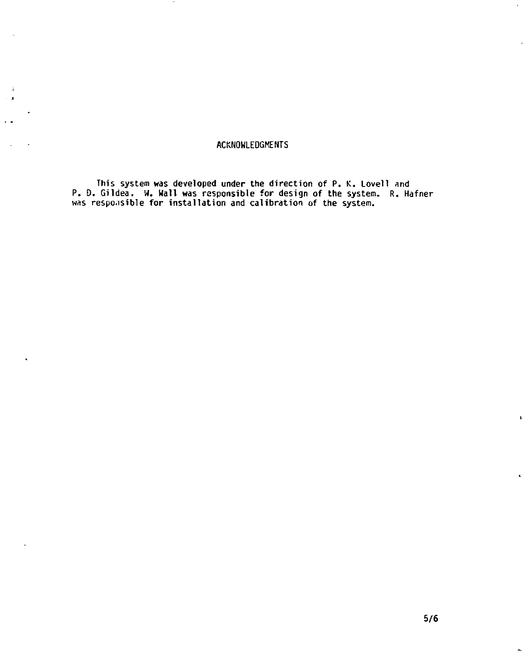# **ACKNOWLEDGMENTS**

J.

This system was developed under the direction of P. K. Lovell and<br>P. D. Gildea. W. Wall was responsible for design of the system. R. Hafner<br>was responsible for installation and calibration of the system.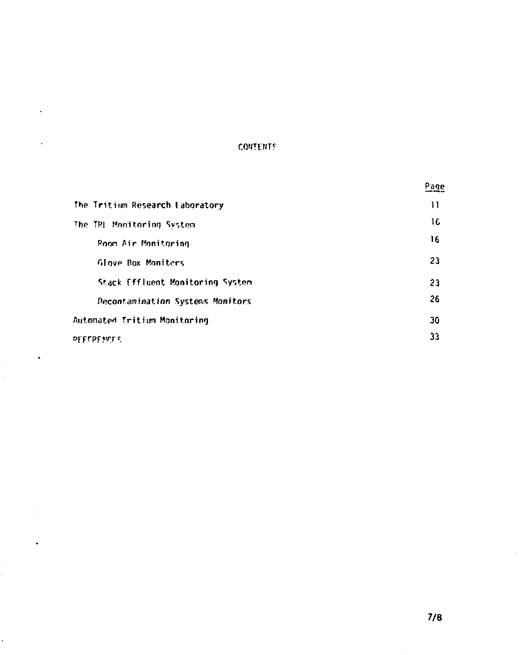# **CONTENTS**

 $\ddot{\phantom{0}}$ 

 $\bullet$ 

÷.

v.

ï

|                                         | Page |
|-----------------------------------------|------|
| The Tritium Research Laboratory         | п    |
| The TRL Monitoring System               | 16.  |
| <b>Poor Air Monitoring</b>              | 16   |
| Glove Box Monitors                      | -23  |
| <b>Stack Effluent Monitoring System</b> | 23   |
| Decontamination Systems Monitors        | 26   |
| Automated Tritium Manitoring            | 30   |
| of ECDEMEES                             | 33   |

 $\bar{z}$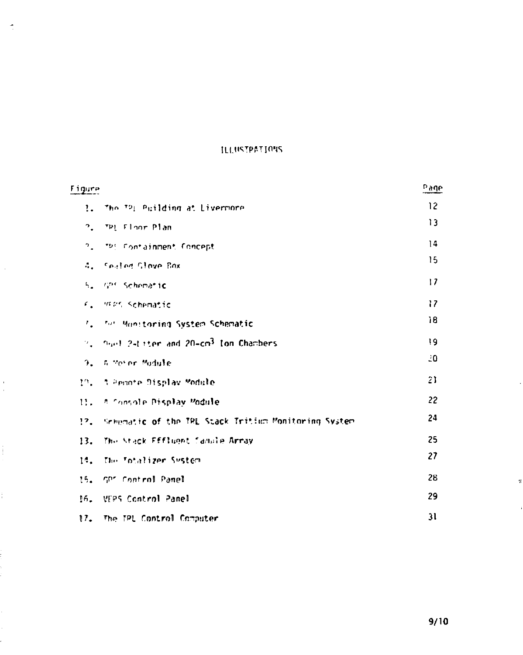# ILLUSTPATIONS

 $\frac{\partial}{\partial t}$ 

 $\frac{1}{2}$ 

 $\frac{1}{2}$ 

ł,

| Figure                    |                                                      | Page |
|---------------------------|------------------------------------------------------|------|
| 1.                        | The TPI Puilding at Livermore                        | 12   |
| $\mathcal{P}_n$           | TPI Floor Plan                                       | 13   |
| $\gamma$                  | TP: Containment Concept                              | 14   |
| 4.                        | Seated Stove Box                                     | 15   |
| 5.                        | The Schematic                                        | 17   |
| ٠.                        | wird Schenatic                                       | 17   |
| Τ.                        | Tell Monitoring System Schematic                     | 18   |
| $\mathcal{F}_{\bullet}$ . | Suit 2-titer and 20-cm3 Ion Chambers                 | 19   |
| $\mathcal{F}_{\bullet}$   | A Motor Module                                       | 20   |
| $1^{\prime\prime}$ .      | <b>S Pennie Display Module</b>                       | 21   |
| 11.                       | A Console Pisplay Module                             | 22   |
| 12.                       | Schematic of the TRE Stack Tritium Monitoring System | 24   |
| 13.                       | The Stack Fffluent Cample Array                      | 25   |
| 14.                       | The Fotalizer System                                 | 27   |
| 15.                       | GPS Control Panel                                    | 28   |
| 16.                       | - VEPS Control Panel                                 | 29   |
| 17.                       | The TPL Control Computer                             | 31   |

 $9/10$ 

Ż,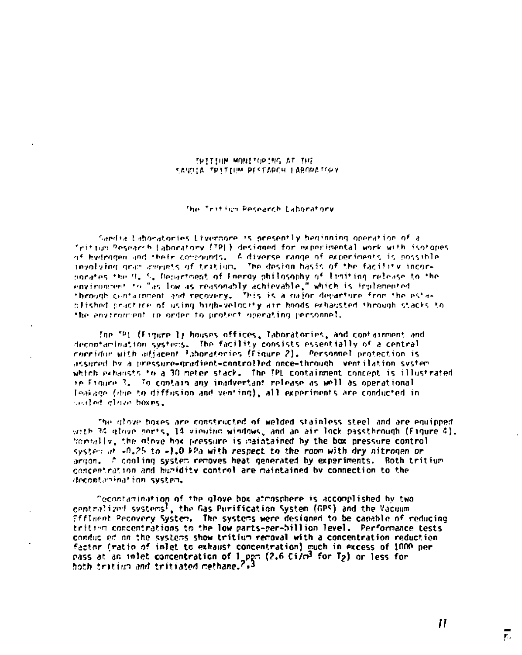#### TRITTUM MONETOPING AT THE SANDIA TRETTIIM PESEAPCH LARORATORY

#### The Tritium Pesearch Laboratory

Sandia Laboratories Livermore is presently beginning operation of a Tritium Pesearch Laboratory (TPL) designed for experimental work with isotopes of hydrogen and their compounds. A diverse range of experiments is possible involving gram amounts of tritium. The design hasis of the facility incorparates the fl. S. Department of Energy philosophy of limiting release to the environment to "as low as reasonably achievable," which is implemented through containment and recovery. This is a major departure from the established practice of using high-velocity air hoods exhausted through stacks to the environment in order to protect operating personnel.

The TPL (Figure 1) houses offices, laboratories, and containment and decontamination systems. The facility consists essentially of a central corridor with adjacent laboratories (figure 2). Personnel protection is assured by a pressure-gradient-controlled once-through, ventilation system which exhausts to a 30 meter stack. The TPL containment concept is illustrated in Figure 3. To contain any inadvertant release as well as operational Teakage (due to diffusion and vention), all experiments are conducted in analed clave boxes.

The glove boxes are constructed of welded stainless steel and are equipped with 34 glove norts, 14 viewing windows, and an air lock passthrough (Figure 4). formally, the olove hor pressure is maintained by the box pressure control system at -0.25 to -1.0 kPa with respect to the room with dry nitrogen or argon. A cooling system removes heat generated by experiments. Both tritium concentration and humidity control are maintained by connection to the decontanination system.

"econtamination of the glove box atmosphere is accomplished by two centralized systems<sup>1</sup>, the Gas Purification System (GPS) and the Vacuum Effluent Pecovery System. The systems were designed to be capable of reducing trition concentrations to the low parts-per-billion level. Performance tests conduc ed on the systems show tritium removal with a concentration reduction. factor (ratio of inlet to exhaust concentration) guch in excess of 1000 per pass at an inlet concentration of 1 ppm (2.6 Ci/m<sup>3</sup> for T<sub>2</sub>) or less for<br>both tritium and tritiated methane.<sup>2</sup>.<sup>3</sup>

11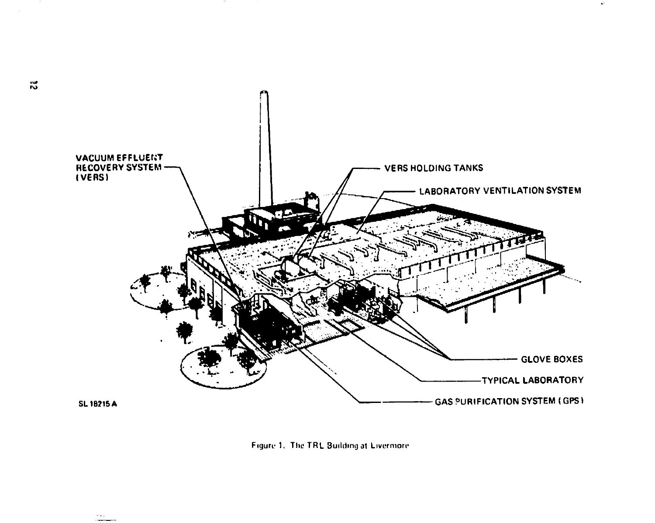

 $\omega$ 

Figure 1. The TRL Building at Livermore

 $\vec{v}$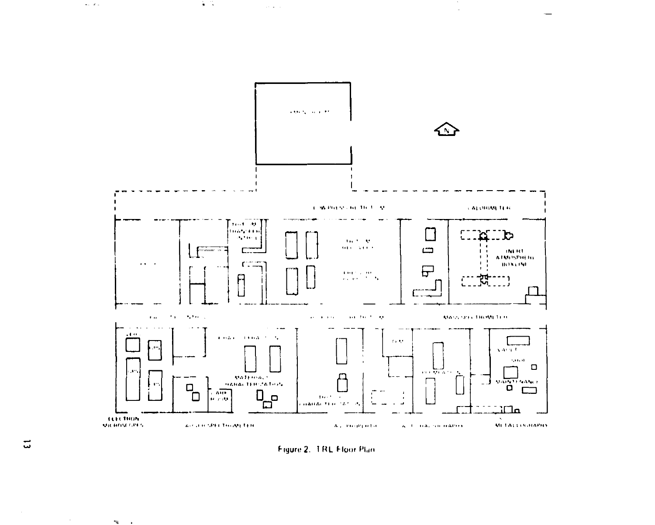

Figure 2. TRL Floor Plan

ದ

**Contract State** 

 $\sim 10^{-1}$ 

 $\mathcal{L}_{\rm{max}}$  , and

 $\sim$   $-$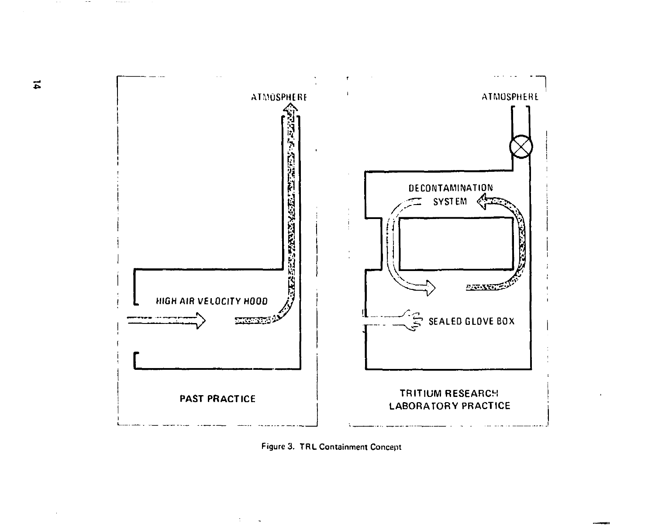

Figure 3. TRL Containment Concept

 $\tilde{\mathcal{A}}$ 

 $\overline{p}$ 

 $\sim$ 

 $-1000$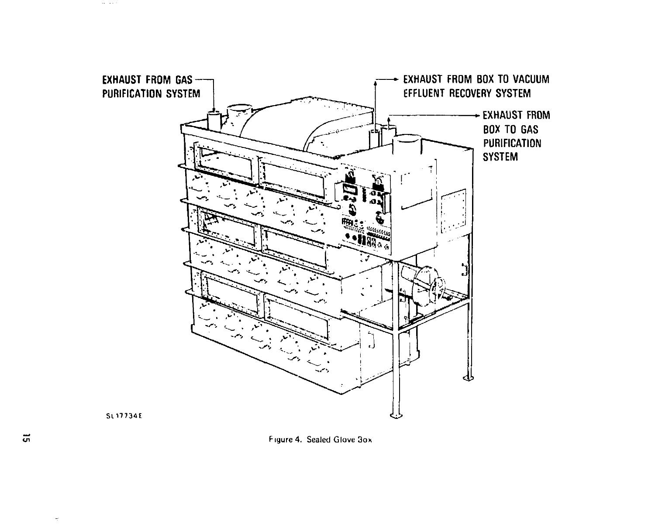

Figure 4. Sealed Glove 3ox

 $\vec{a}$ 

 $\alpha\in\mathbb{R}^n$  ,  $\alpha$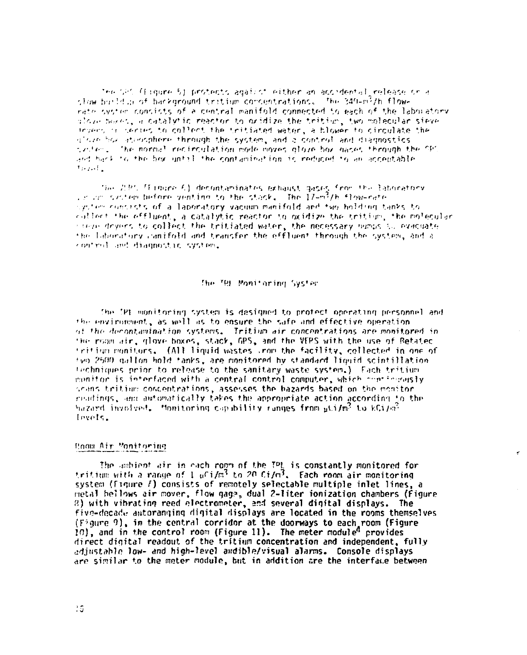The SPC (Figure 5) protects against either an accedental release crue slow build in of background tritium concentrations. The 340-m37h flowrate system consists of a central manifold connected to each of the laboratory slowe boxes, a catalytic reactor to oxidize the tritium, two molecular sieve developed in period to collect the tritiated water, a blower to circulate the alore how atensphere through the system, and a control and diagnostics system. The normal recirculation mode moves olove box gases through the SPS and hack to the box until the contamination is reduced to an acceptable **Torachio** 

The 2011, (Finance 6.) decontaminates exhaust dases from the laboratory Le as system before venting to the stack. The 17-m3/h flow-rate system consists of a laporatory vacuum manifold and two holding tanks to collect the effluent, a catalytic reactor to oxidize the tritium, the molecular coupe devers to collect the tritiated water, the necessary numbs su evacuate the laboratory canifold and transfer the effluent through the system, and a control and diamostic system.

#### The TRI Monitoring System

The TPI monitoring system is designed to protect operating personnel and the environment, as well as to ensure the safe and effective operation of the decontamination systems. Tritium air concentrations are monitored in the room air, glove boxes, stack, GPS, and the VERS with the use of Betatec. tritium monitors. (All liquid wastes .rom the facility, collected in one of tyo 2500 gallon hold tanks, are monitored by standard liquid scintillation. techniques prior to release to the sanitary waste system.) Fach tritium monitor is interfaced with a central control computer, which continuously scans tritium concentrations, assesses the bazards based on the monitor readings, and automatically takes the appropriate action according to the hazard involved. Monitoring capability ranges from ati/m<sup>2</sup> to kCi/m<sup>2</sup> Invels.

#### Room Air Monitoring

The ambient air in each rogm of the TPL is constantly monitored for tritium with a range of 1 uCi/m3 to 20 Ci/m3. Each room air monitoring system (figure 1) consists of remotely selectable multiple inlet lines, a rietal bellows air mover, flow gage, dual 2-liter ionization chambers (Figure 2) with vibrating reed electrometer, and several digital displays. The five-decade autoranging digital displays are located in the rooms themselves (Figure 9), in the central corridor at the doorways to each room (Figure 10), and in the control room (Figure 11). The meter module<sup>4</sup> provides direct digital readout of the tritium concentration and independent. fully adjustable low- and high-level audible/visual alarms. Console displays are similar to the meter module, but in addition are the interface between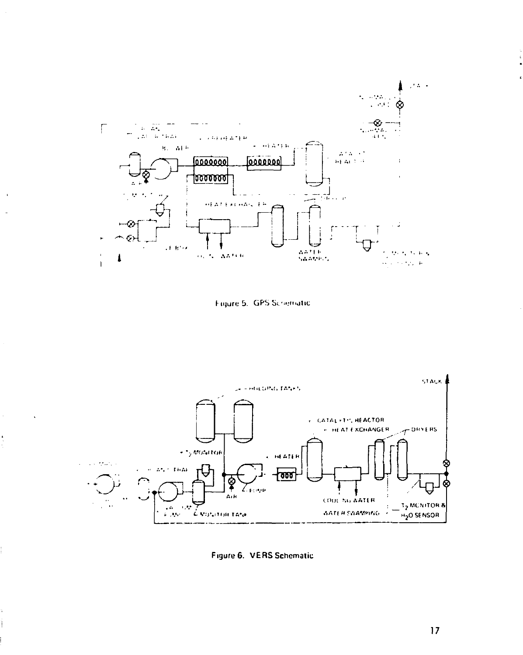





×,

ţ.

Figure 6. VERS Schematic

 $17$ 

 $\overline{a}$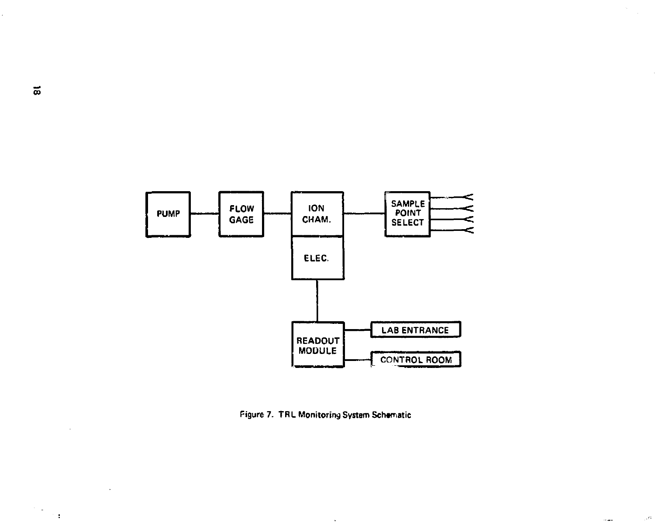

**Figure 7. TRL Monitoring System Schematic** 

 $\sim$ 

 $\sim$ 

**Service** Contractor

 $\sim$  $\sim 1$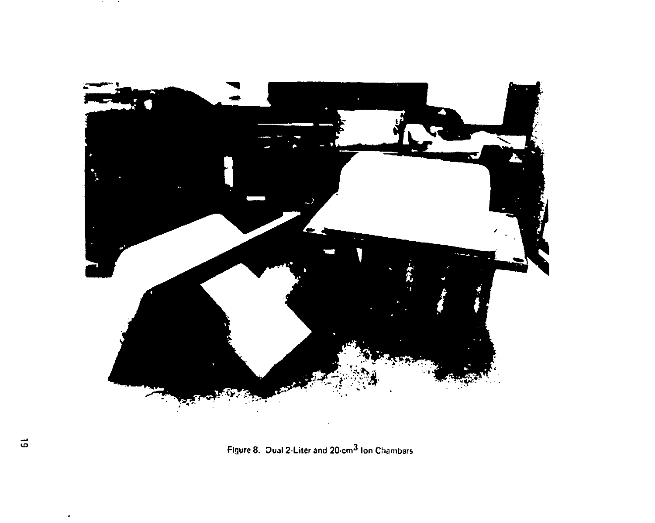

Figure 8. Dual 2-Liter and 20-cm<sup>3</sup> Ion Chambers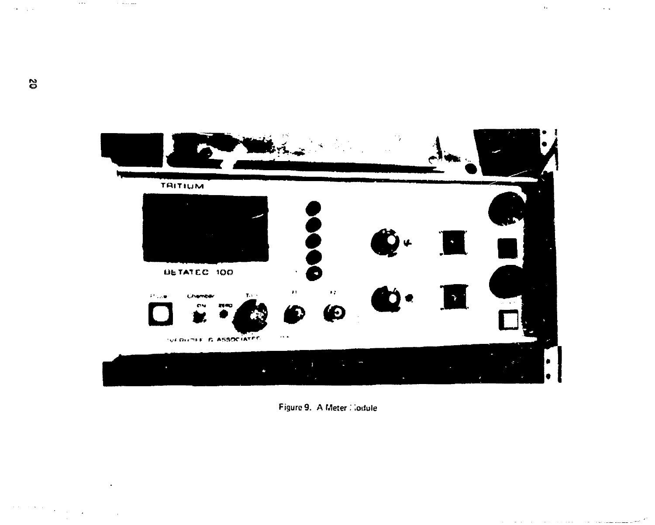

 $\alpha$  .

and the company of the

 $\sim 100$ 

Figure 9. A Meter Nodule

 $\boldsymbol{c}$ 

 $\mathcal{A}$  is a set of  $\mathcal{A}$  .

 $\alpha = \sqrt{1+\epsilon}$ 

 $\sim$  and

 $\gamma$  ,  $\gamma$  ,  $\gamma$  , and an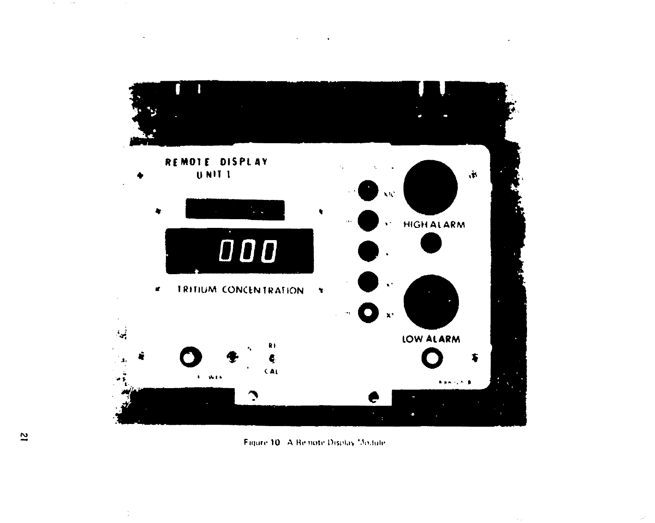

 $\ddot{\phantom{0}}$ 

Figure 10 - A Remote Display Module

.<br>Pri

 $\mathbf{z}$ 

÷

 $\mathcal{A}=\mathcal{A}$  , and  $\mathcal{A}=\mathcal{A}$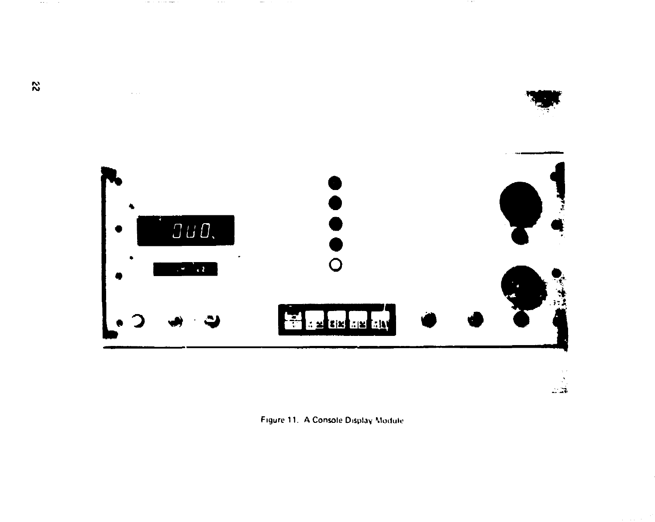

**CONTRACT** 

 $\mathbb{Z} \widetilde{\mathbb{Z}}$ 



 $\boldsymbol{\mathcal{E}}$ 

**Contractor** 

 $\mathcal{L} = \{1, \ldots, n\}$  , we can define

 $\mathcal{L}^{\mathcal{L}}$  , and the  $\mathcal{L}^{\mathcal{L}}$ 

 $\sim$  0.000  $\sim$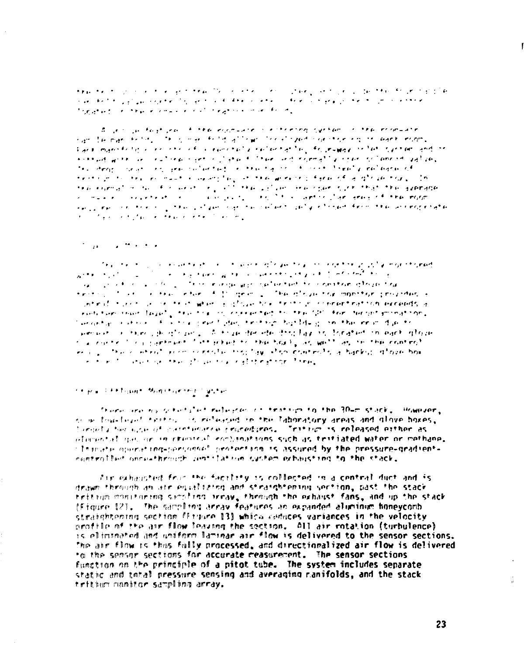aagusaa ja joossa ja ja ja ja alaan 1500 osaalaa siiraasi johana, saala ja siiranalaa tariika ja riigigi lain<br>San aastal jogton saaraasta ja ja asiin alataa sasnaalise taasi saaranga ja jaasta ja siirin alataa والمحارمة المعترض والمحافيق فرام المترابط المستحدث فلينقط المعارية والموافق فيرجون

Big a couple faith and the american in a chairmap cyclam in that momentation night believed the first of the project finite at the anti-central investment and the death resembli such manifestic in the service of a teamer of a realizer of the information to the international and an راهها فهل المعام وهو كالرجاء المتهاجات في المستوفية، ومن المسهوم المسهوم الأنها المسهوم الأسلام المس المعالمين وبريا فعلالها أقرم الموجهة لأمعانها المعادلة فالأحداث فالتراجيح للمعجب مرارحهم فللأنباذ المعور وجعار الجهرمان وومعك الرجالا التراوية فتقوما والهرانج بالاقتراض والمحمول لمتعارضه والمراري والمستور المستسار المرابوعة التماس والمتمرم معاوره ووضعتهم المعافة التائمة المموجة فالواكمون الامتقالية التواف مواد التمواكيان المعافران الداما فالانتصاص والمتا الواحد والمستحقق والمستعاد والمستوفر فالمتراث والمتوافق

#### $\mathcal{L}_{\mathcal{A}}$  and  $\mathcal{L}_{\mathcal{A}}$  . We have the  $\mathcal{L}_{\mathcal{A}}$

i i fault explorer provincia en anche altri alla supper l'afrique tragicare expetite quantification est simult<br>quali provincia provincia provincia e salare la provincia e tragication del provincia estatura provincia alla<br>e sjeben (1969-1969) van de offisjelen in en groepen foar de brotinsje ondereefteat boei een eerste a , dans essen franco dagartiz, exilo Frigi, rel delefian eano erni exilo gogi, kare, din gogi gorrege femili<br>Carrianego, in nerro i colo fichieria, o menti udan, e motificati historia governi ehan mminto digali er avenue in race control of the second internal and the drive Equipment department of the الأروغ فطروع الطافات الدفار وفرد الأكلفهن ومراري فالرورة الصاقد المحاج فتواطعوا فعواله فعورت والموارد والمتعرف والرازات er i gji the kilenet promincerste troj tay atom esetesto a harkej difove hor and the continues of the state of the particle of the grange. These,

#### ice you (CEET) part Morris General System

there are no contact that making on the time to the 30-m stack, However, or an Investment timeter, including the two Tabonatory areas and glove boxes, Exemptly has appened metal-service propertypes. Transity is released eather as alamental me, or in regioneal containations such as tritiated water or methane. "Itingto more contact the partners" pretention is assured by the pressure-gradienteastrolled once-through vestilation system echaisting to the stack.

for exhausted from the facility is collected in a central duct and is deason theology am are equatizing and steatshteming section, past the stack reithin monitaeing sampling areay, theough the exhaust fans, and up the stack (Figure 12). The sampling array features an expanded aluminum honeycomb straightening section flivese 13) which seduces variances in the velocity profile of the air flow leaving the section. All air rotation (turbulence) is eliminated and uniform laminar air flow is delivered to the sensor sections. The air flow is thus fully processed, and directionalized air flow is delivered \*a the sensor sections for accurate measurement. The sensor sections function on the principle of a pitot tube. The system includes separate static and total pressure sensing and averaging nanifolds, and the stack tettium monttor sampling ammay.

23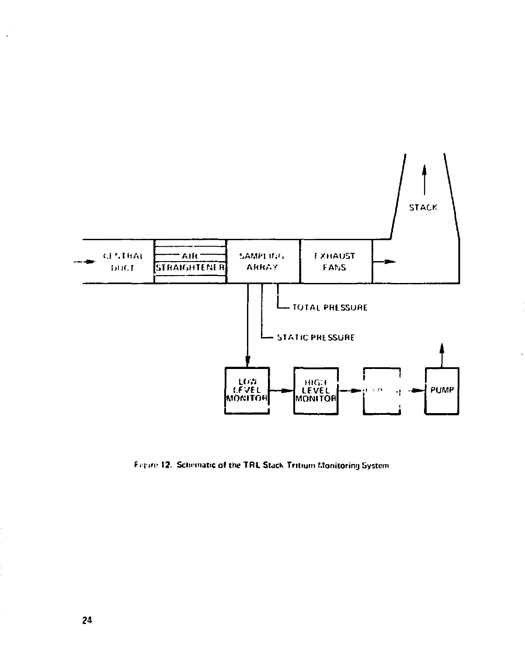

Fugure 12. Schematic of the TRL Stack Tritium Monitoring System.

 $\overline{\phantom{a}}$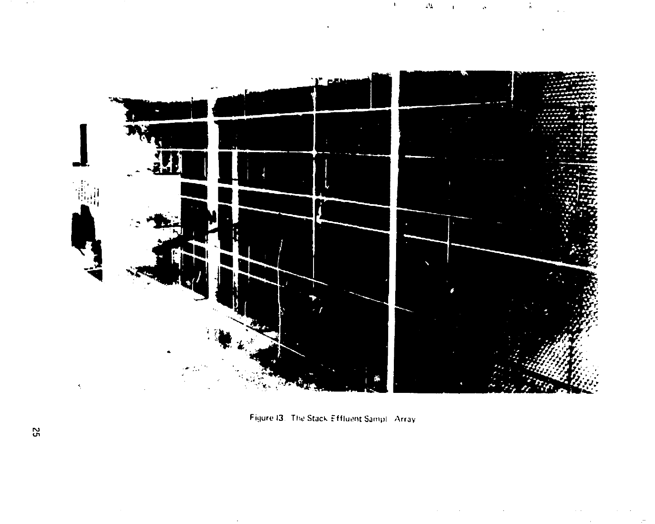

 $\mathbf{r}$ 

zy.

×

Figure I3. The Stack Effluent Sampl - Array

 $\sim$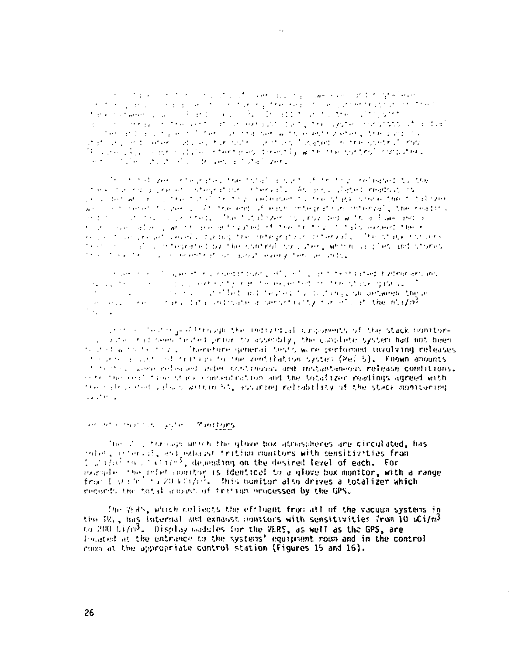i som en stande i starte en stande som till att staakke av gruppe i samme en att forte opperheder.<br>Se store system i som er ander senset i store en potken karasst som en var ektikation for trops till et ste et<br>Bar en resta e kara se sa Audual e persente de la kara e kara e lei persenta da alaksi persente da dalam problemator de la<br>Sale e e cerceba a anche de tronducante de la cerca dorte di deltra, etxa e la gottan e conto toto se fe al sta ીને તાલન પણ કરે છે. ડે તે પણ લગે તે તાલનો પણ તે નથી તાલિત પ્રતિષ્ઠ પર લગાવતો પ્રક્રિયાન દ્રાવેલીને કે સિક્રોને<br>ડે તે કે પણ દ્રાપ્ત કરે પણ લગાવતો પણ તે પણ તાલુકોને પણ તે કે સાથે પણ કરી પ્રદેશમાં પણ તે કે સાહિત કરી પણ જોવા the control of the second field of the forms of the state that the system of the computers were a strained by providing the special future cover.

The control open contacts and chair install calls and in the non-proceed equals to state stories of a crop of personal contractories of the contract is shown as a flated correlativations. ste till det vært at till free mid at i fert han avet haden mit i felet af ade igreder falle militat hære.<br>Ser i sin til hener i till ven i 1975, tree verd i stilleddel intergraf hver instremed i i tale heraddit i The process of the second contract of the interpretational provided with a business and فتطوف وسيتوقف وكواد والوادف أتتبعه فالعاد وسوفوه فالتواصي بتعير فالتشي التباري المرواني بالمراد in 2003 and an inneand any other the theoretic protect but continued by the state instrument.<br>The first collective in the protect by the inserting lineary at my white was plink and stones. the contract of the company of the state of an approximation of the contract of

in under alle in upper et la propriété publique (1982) notifique to taille était pataigé devantuant sammen and the second section of the second control of the second that the state of the state of a attention o<br>The second second second second second the second second second the state of a program of a second second seco i a componente de la componente de la componente de la componente de la componente de la componente de la comp<br>La componente de la componente de la componente de l'anciente de la componente de la componente de la grande d  $\mathcal{O}(\mathcal{E}_\mathbf{z})$  .

stor as lester peofiterizate the individual comparents of the stack conitoris a start nest seem "tested primar to assembly, the cumplete system had not been such also such a track of the form general that's work performed involving releases.<br>In a least a local actor it and to the ventilation system (Pef. 5). Known amounts it tests. When released ander continuous and instantaneous release conditions. contention even teme of any concentration and the tatalizer readings agreed with the sale of their adjoces watered 5%, assumed related laby of the stack monitoring **Contractor** 

#### air ait i chat cub gotar. Manthars

The 2002 termings unrich the glove box atmospheres are circulated, has inter, interval, and exhaust tritimm monitors with sensitivities from  $1 \leq i \leq n$  for  $i \leq i \leq n/2$ , depending on the desired level of each. For ovasule the relet controm is identical to a glove bux monitor, with a range from I staded by 20 kfa/ed. This munitur also drives a totalizer which records the total assert of tritism eracessed by the GPS.

The VERS, which collects the effluent from all of the vacuum systems in the IRL, has internal and exhaust conttors with sensitivities From 10 DCi/m<sup>3</sup> to 200 Ci/rd. Display modules for the VERS, as well as the GPS, are located at the entrance to the systems' equipment room and in the control comment the ampropriate control station (Figures 15 and 16).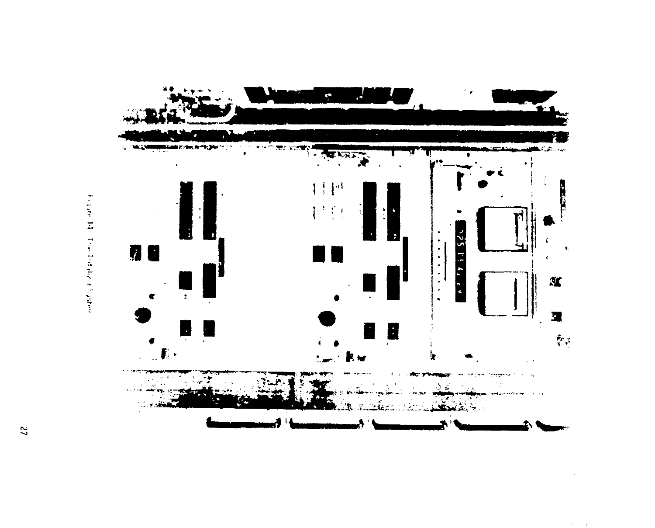

Figure 14, The Trip High Control

 $\lambda$  and  $\lambda$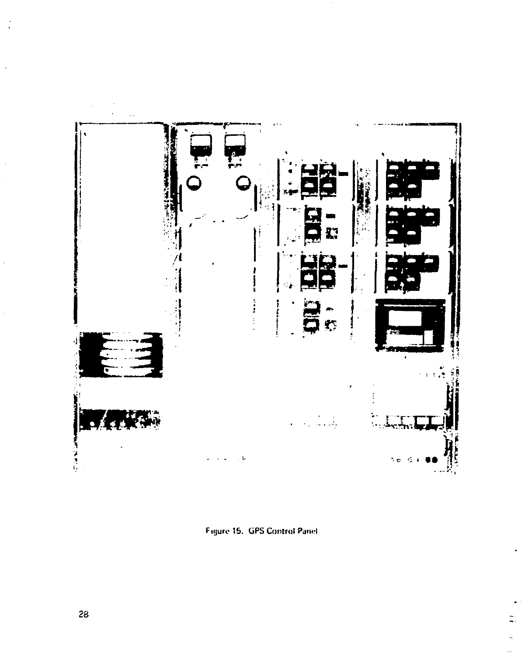

Figure 15. GPS Control Panel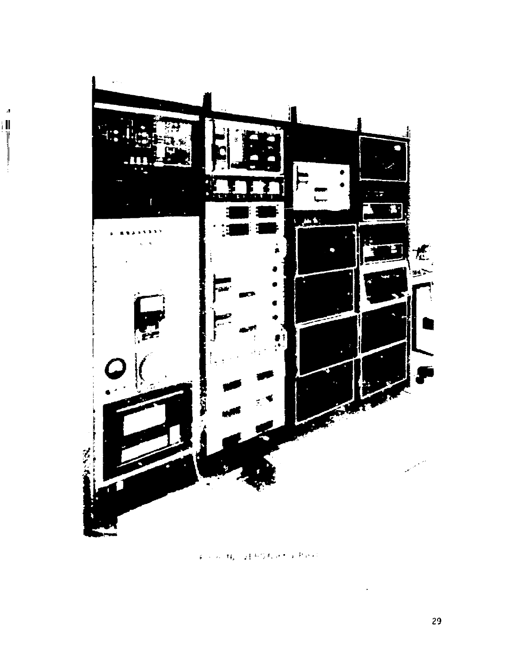

 $\hat{H}$ Ш

> $\sqrt{1}$  and  $\theta_1$  and  $\theta_2$  is the set  $\mathbb{R}$  .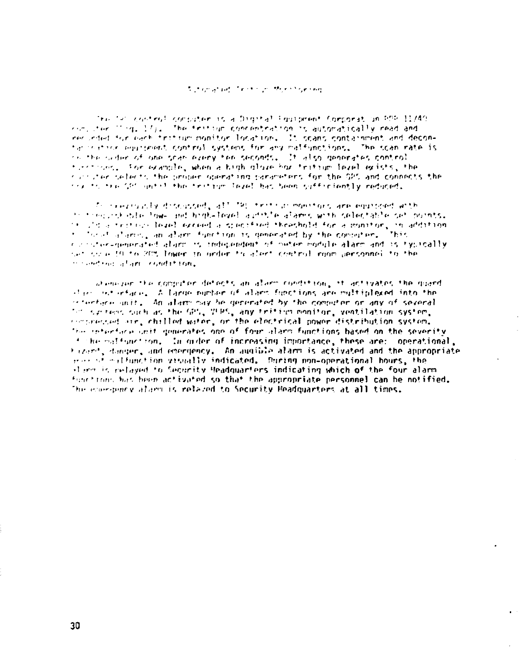# ومتعرف فجرافه الرادف فكالواطئ وراويل

Teacher control consuler is a Digital Equipment Corporat un PDP 11/40 com, two ling. 17). The textium concentration is automatically read and leer ledged for each first sum monitor location. It scans containment and decontaccolation equipment control systems for any malfunctions. The scan rate is call the suder of one scan every ten seconds. It also generates control terribos, for example, when a bigh glove hor tritium level exists, the contracts of exists the proper sperating parameters for the GPS and connects the the triangle opened the trition level has been sufficiently reduced.

To called that by discoussed, all TRL tests as monthous are equipped with to the grid data low- and high-taxet audible atamic with celectable cet points. in list a tritical lovel exceed a siecified threshold for a monitor, in addition to like at attending an allam function is denomated by the computer. This. consider encouraged about the independent of meter endule about and in typically sure size in to 20% fower in order to alert control room dersonnel to the in construction conditions.

shame partie computer detects an alarm condition, it activates the quand star interface, A large number of alamn functions are multiplexed into the interface anity. An alarm may be generated by the computer or any of several The success such as the GPS, VERS, any tritics monitor, ventilation system, compressed air, chilled water, or the electrical power distribution system. The interface writ gonerates one of four alarm functions based on the severity the matrimetron, In order of increasing importance, these are: operational. Figure, damper, and energency. An augible alarm is activated and the appropriate are of malianction visually indicated. During non-operational hours, the alarm is relayed to Security Headquarters indicating which of the four alarm functions has been activated so that the appropriate personnel can be notified. The energy metagen is related to Security Headquarters at all times.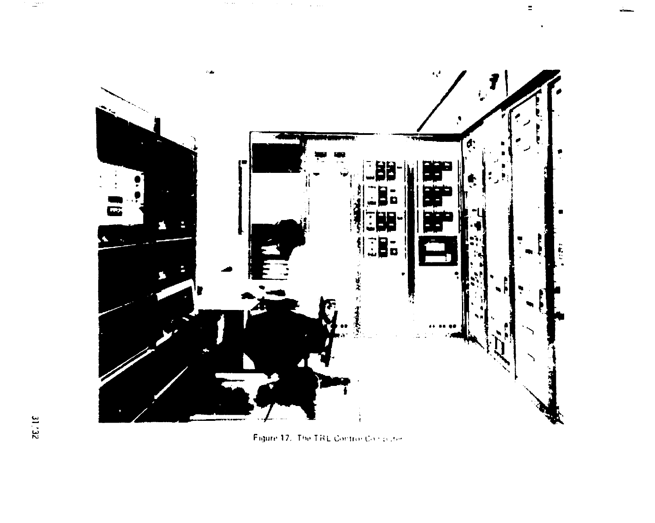

 $\mathcal{O}(10^{11})$  , where  $\mathcal{O}(10^{11})$ 

Ξ

Figure 12. The TRL Control Consulter

 $\mathbb{Z}^2$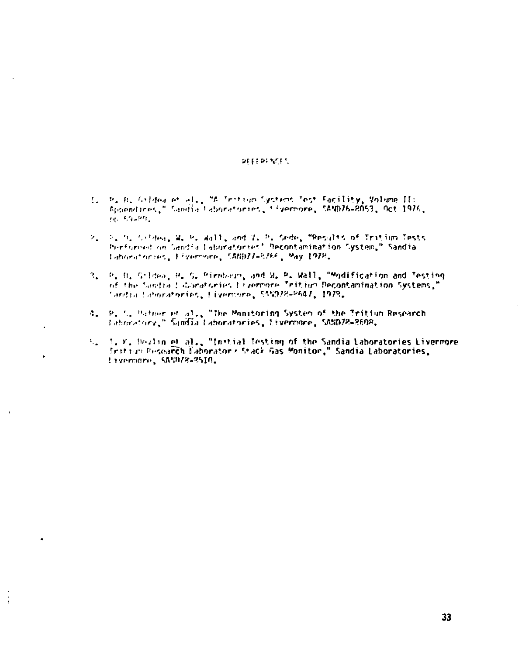## REFERENCES.

- 1. P. B. Gildea et al., "A Tritium Systems Test Facility, Volume II: Appendices," Sandia Laboratories, Livermore, SAND76-8053, Oct 1976, 14. 55-80.
- 21 P. N. Gildea, W. P. Wall, and V. P. Gede, "Pesults of Iritim Tests Performed on Sentia Laboratories' Recontamination System." Sandia Laboratories, Eivernore, SNBIL-8166, May 1978,
- 3. P. D. Gildea, P. G. Pirmbern, and W. P. Wall, "Modification and Testing<br>of the Sandra E-Socatories Exzernore Tritium Pecontamination Systems," Candia Laboratories, Livermore, SAND78-9647, 1979,
- 4. P. S. Hafner et al., "The Monitoring System of the Tritium Research Laboratory," Sandia Laboratories, Livermore, SAND78-3608,
- 5. I. X. Dealin of al., "instial Testing of the Sandia Laboratories Livermore Institute Pesearch Taborator / Stack Gas Monitor," Sandia Laboratories, Livermore, SANDZ2-2510,